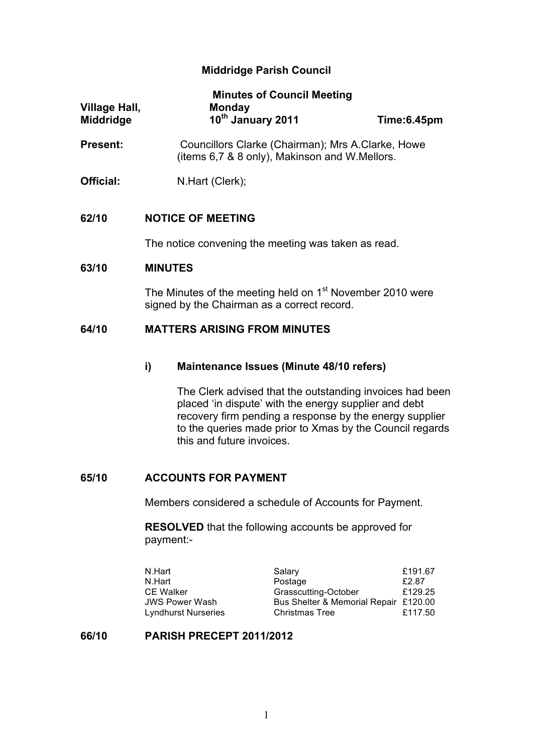# **Middridge Parish Council**

| Village Hall,<br><b>Middridge</b> | <b>Minutes of Council Meeting</b><br><b>Monday</b><br>10th January 2011                            | Time:6.45pm |
|-----------------------------------|----------------------------------------------------------------------------------------------------|-------------|
| <b>Present:</b>                   | Councillors Clarke (Chairman); Mrs A.Clarke, Howe<br>(items 6,7 & 8 only), Makinson and W.Mellors. |             |
| Official:                         | N.Hart (Clerk);                                                                                    |             |

## **62/10 NOTICE OF MEETING**

The notice convening the meeting was taken as read.

#### **63/10 MINUTES**

The Minutes of the meeting held on 1<sup>st</sup> November 2010 were signed by the Chairman as a correct record.

# **64/10 MATTERS ARISING FROM MINUTES**

#### **i) Maintenance Issues (Minute 48/10 refers)**

The Clerk advised that the outstanding invoices had been placed 'in dispute' with the energy supplier and debt recovery firm pending a response by the energy supplier to the queries made prior to Xmas by the Council regards this and future invoices.

## **65/10 ACCOUNTS FOR PAYMENT**

Members considered a schedule of Accounts for Payment.

**RESOLVED** that the following accounts be approved for payment:-

| N.Hart                     | Salary                                | £191.67 |
|----------------------------|---------------------------------------|---------|
| N.Hart                     | Postage                               | £2.87   |
| <b>CE Walker</b>           | Grasscutting-October                  | £129.25 |
| JWS Power Wash             | Bus Shelter & Memorial Repair £120.00 |         |
| <b>Lyndhurst Nurseries</b> | <b>Christmas Tree</b>                 | £117.50 |

#### **66/10 PARISH PRECEPT 2011/2012**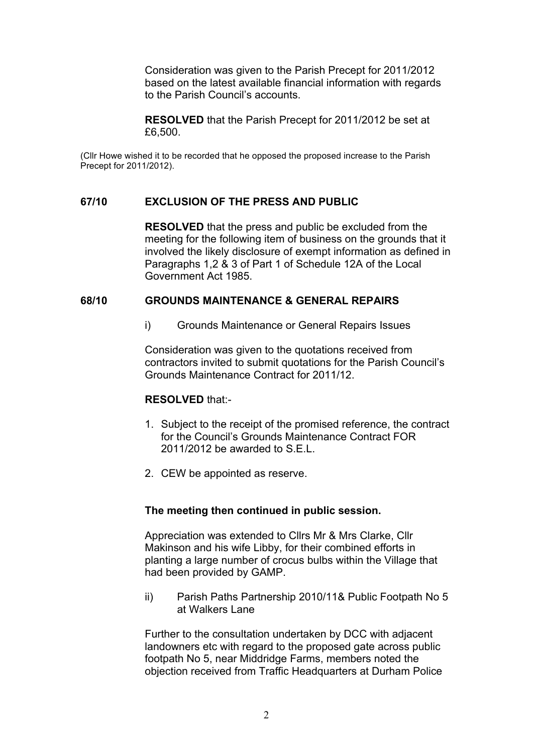Consideration was given to the Parish Precept for 2011/2012 based on the latest available financial information with regards to the Parish Council's accounts.

**RESOLVED** that the Parish Precept for 2011/2012 be set at £6,500.

(Cllr Howe wished it to be recorded that he opposed the proposed increase to the Parish Precept for 2011/2012).

## **67/10 EXCLUSION OF THE PRESS AND PUBLIC**

**RESOLVED** that the press and public be excluded from the meeting for the following item of business on the grounds that it involved the likely disclosure of exempt information as defined in Paragraphs 1,2 & 3 of Part 1 of Schedule 12A of the Local Government Act 1985.

## **68/10 GROUNDS MAINTENANCE & GENERAL REPAIRS**

i) Grounds Maintenance or General Repairs Issues

Consideration was given to the quotations received from contractors invited to submit quotations for the Parish Council's Grounds Maintenance Contract for 2011/12.

#### **RESOLVED** that:-

- 1. Subject to the receipt of the promised reference, the contract for the Council's Grounds Maintenance Contract FOR 2011/2012 be awarded to  $S$  F I
- 2. CEW be appointed as reserve.

#### **The meeting then continued in public session.**

Appreciation was extended to Cllrs Mr & Mrs Clarke, Cllr Makinson and his wife Libby, for their combined efforts in planting a large number of crocus bulbs within the Village that had been provided by GAMP.

ii) Parish Paths Partnership 2010/11& Public Footpath No 5 at Walkers Lane

Further to the consultation undertaken by DCC with adjacent landowners etc with regard to the proposed gate across public footpath No 5, near Middridge Farms, members noted the objection received from Traffic Headquarters at Durham Police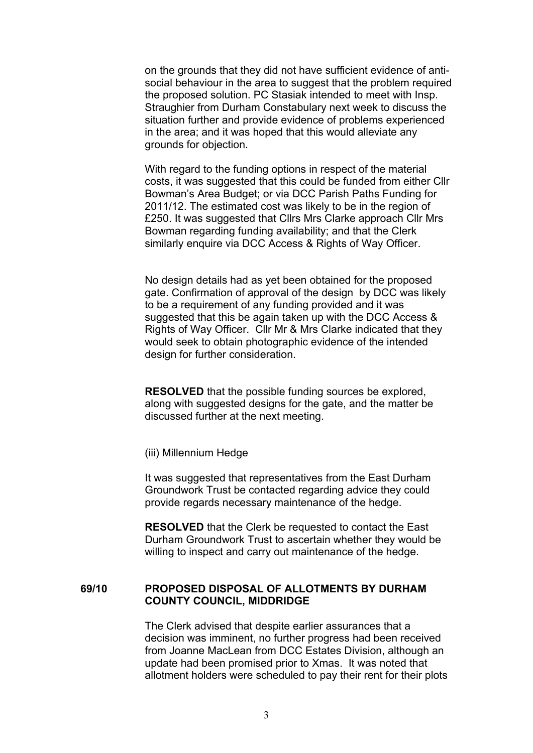on the grounds that they did not have sufficient evidence of antisocial behaviour in the area to suggest that the problem required the proposed solution. PC Stasiak intended to meet with Insp. Straughier from Durham Constabulary next week to discuss the situation further and provide evidence of problems experienced in the area; and it was hoped that this would alleviate any grounds for objection.

With regard to the funding options in respect of the material costs, it was suggested that this could be funded from either Cllr Bowman's Area Budget; or via DCC Parish Paths Funding for 2011/12. The estimated cost was likely to be in the region of £250. It was suggested that Cllrs Mrs Clarke approach Cllr Mrs Bowman regarding funding availability; and that the Clerk similarly enquire via DCC Access & Rights of Way Officer.

No design details had as yet been obtained for the proposed gate. Confirmation of approval of the design by DCC was likely to be a requirement of any funding provided and it was suggested that this be again taken up with the DCC Access & Rights of Way Officer. Cllr Mr & Mrs Clarke indicated that they would seek to obtain photographic evidence of the intended design for further consideration.

**RESOLVED** that the possible funding sources be explored, along with suggested designs for the gate, and the matter be discussed further at the next meeting.

(iii) Millennium Hedge

It was suggested that representatives from the East Durham Groundwork Trust be contacted regarding advice they could provide regards necessary maintenance of the hedge.

**RESOLVED** that the Clerk be requested to contact the East Durham Groundwork Trust to ascertain whether they would be willing to inspect and carry out maintenance of the hedge.

#### **69/10 PROPOSED DISPOSAL OF ALLOTMENTS BY DURHAM COUNTY COUNCIL, MIDDRIDGE**

The Clerk advised that despite earlier assurances that a decision was imminent, no further progress had been received from Joanne MacLean from DCC Estates Division, although an update had been promised prior to Xmas. It was noted that allotment holders were scheduled to pay their rent for their plots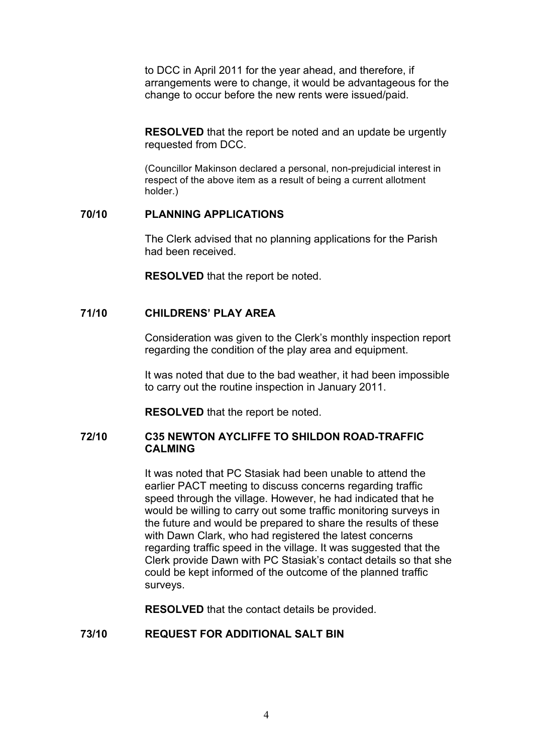to DCC in April 2011 for the year ahead, and therefore, if arrangements were to change, it would be advantageous for the change to occur before the new rents were issued/paid.

**RESOLVED** that the report be noted and an update be urgently requested from DCC.

(Councillor Makinson declared a personal, non-prejudicial interest in respect of the above item as a result of being a current allotment holder.)

## **70/10 PLANNING APPLICATIONS**

The Clerk advised that no planning applications for the Parish had been received.

**RESOLVED** that the report be noted.

# **71/10 CHILDRENS' PLAY AREA**

Consideration was given to the Clerk's monthly inspection report regarding the condition of the play area and equipment.

It was noted that due to the bad weather, it had been impossible to carry out the routine inspection in January 2011.

**RESOLVED** that the report be noted.

## **72/10 C35 NEWTON AYCLIFFE TO SHILDON ROAD-TRAFFIC CALMING**

It was noted that PC Stasiak had been unable to attend the earlier PACT meeting to discuss concerns regarding traffic speed through the village. However, he had indicated that he would be willing to carry out some traffic monitoring surveys in the future and would be prepared to share the results of these with Dawn Clark, who had registered the latest concerns regarding traffic speed in the village. It was suggested that the Clerk provide Dawn with PC Stasiak's contact details so that she could be kept informed of the outcome of the planned traffic surveys.

**RESOLVED** that the contact details be provided.

# **73/10 REQUEST FOR ADDITIONAL SALT BIN**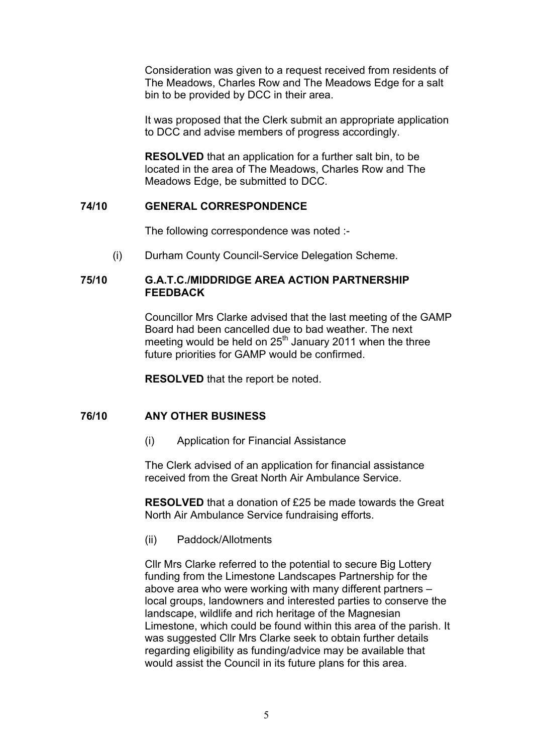Consideration was given to a request received from residents of The Meadows, Charles Row and The Meadows Edge for a salt bin to be provided by DCC in their area.

It was proposed that the Clerk submit an appropriate application to DCC and advise members of progress accordingly.

**RESOLVED** that an application for a further salt bin, to be located in the area of The Meadows, Charles Row and The Meadows Edge, be submitted to DCC.

## **74/10 GENERAL CORRESPONDENCE**

The following correspondence was noted :-

(i) Durham County Council-Service Delegation Scheme.

## **75/10 G.A.T.C./MIDDRIDGE AREA ACTION PARTNERSHIP FEEDBACK**

Councillor Mrs Clarke advised that the last meeting of the GAMP Board had been cancelled due to bad weather. The next meeting would be held on  $25<sup>th</sup>$  January 2011 when the three future priorities for GAMP would be confirmed.

**RESOLVED** that the report be noted.

### **76/10 ANY OTHER BUSINESS**

(i) Application for Financial Assistance

The Clerk advised of an application for financial assistance received from the Great North Air Ambulance Service.

**RESOLVED** that a donation of £25 be made towards the Great North Air Ambulance Service fundraising efforts.

(ii) Paddock/Allotments

Cllr Mrs Clarke referred to the potential to secure Big Lottery funding from the Limestone Landscapes Partnership for the above area who were working with many different partners – local groups, landowners and interested parties to conserve the landscape, wildlife and rich heritage of the Magnesian Limestone, which could be found within this area of the parish. It was suggested Cllr Mrs Clarke seek to obtain further details regarding eligibility as funding/advice may be available that would assist the Council in its future plans for this area.